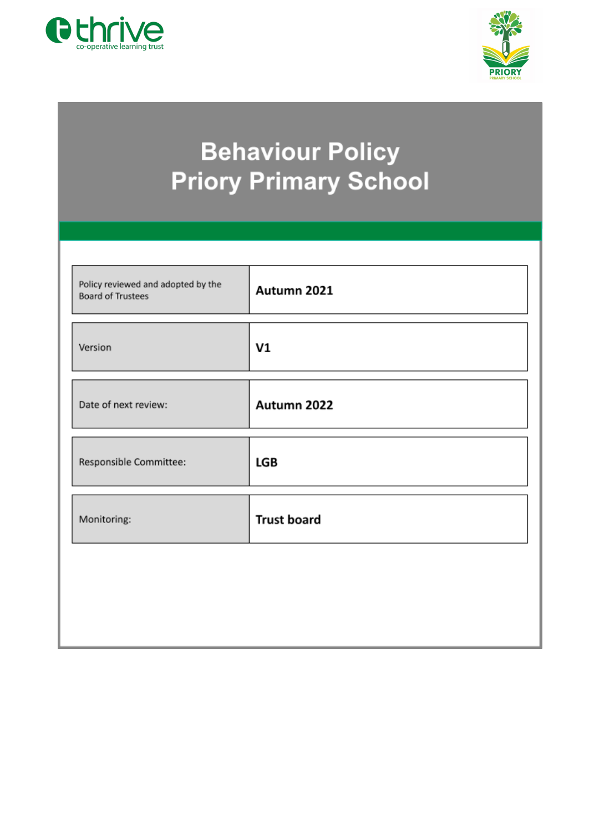



# **Behaviour Policy Priory Primary School**

| Autumn 2021        |
|--------------------|
| V1                 |
| Autumn 2022        |
| LGB                |
| <b>Trust board</b> |
|                    |
|                    |
|                    |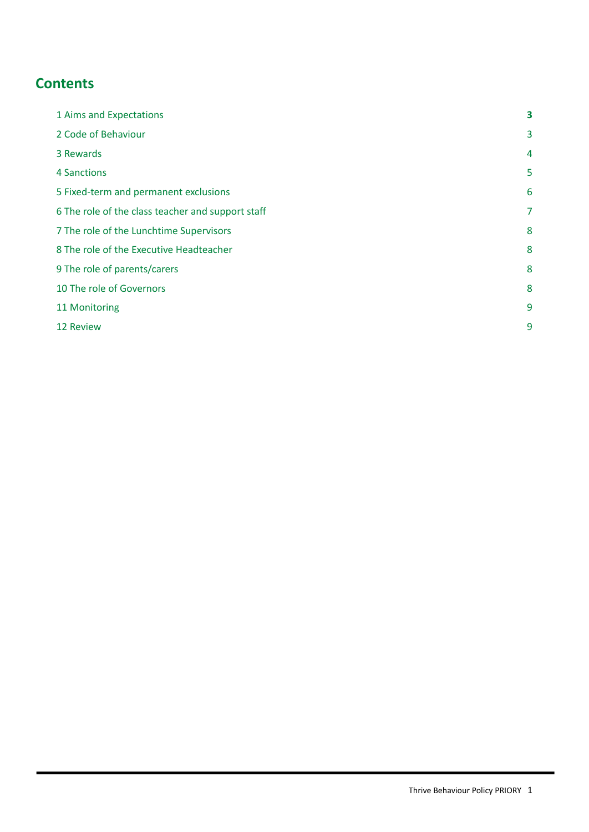# **Contents**

| 1 Aims and Expectations                           | 3              |
|---------------------------------------------------|----------------|
| 2 Code of Behaviour                               | 3              |
| 3 Rewards                                         | $\overline{4}$ |
| 4 Sanctions                                       | 5              |
| 5 Fixed-term and permanent exclusions             | 6              |
| 6 The role of the class teacher and support staff | 7              |
| 7 The role of the Lunchtime Supervisors           | 8              |
| 8 The role of the Executive Headteacher           | 8              |
| 9 The role of parents/carers                      | 8              |
| 10 The role of Governors                          | 8              |
| 11 Monitoring                                     | 9              |
| 12 Review                                         | 9              |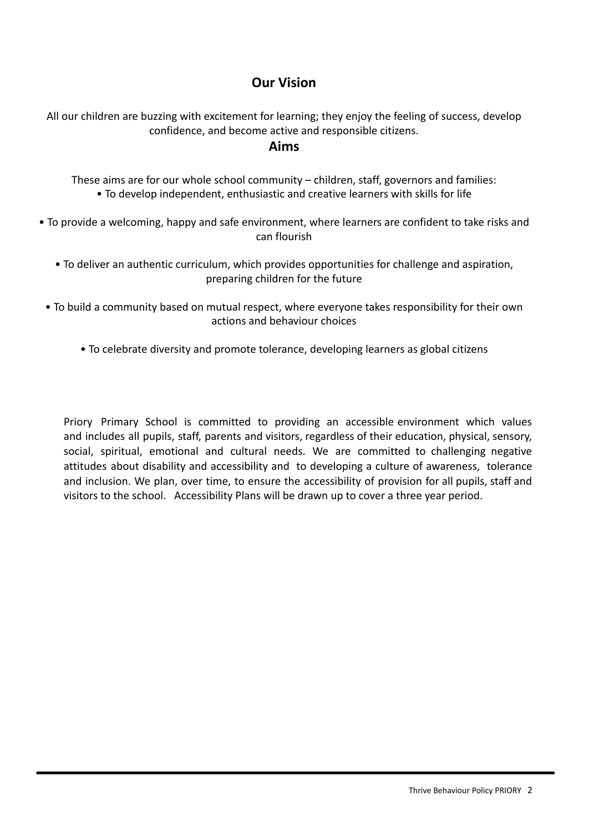# **Our Vision**

All our children are buzzing with excitement for learning; they enjoy the feeling of success, develop confidence, and become active and responsible citizens.

# **Aims**

These aims are for our whole school community – children, staff, governors and families: • To develop independent, enthusiastic and creative learners with skills for life

• To provide a welcoming, happy and safe environment, where learners are confident to take risks and can flourish

- To deliver an authentic curriculum, which provides opportunities for challenge and aspiration, preparing children for the future
- To build a community based on mutual respect, where everyone takes responsibility for their own actions and behaviour choices
	- To celebrate diversity and promote tolerance, developing learners as global citizens

Priory Primary School is committed to providing an accessible environment which values and includes all pupils, staff, parents and visitors, regardless of their education, physical, sensory, social, spiritual, emotional and cultural needs. We are committed to challenging negative attitudes about disability and accessibility and to developing a culture of awareness, tolerance and inclusion. We plan, over time, to ensure the accessibility of provision for all pupils, staff and visitors to the school. Accessibility Plans will be drawn up to cover a three year period.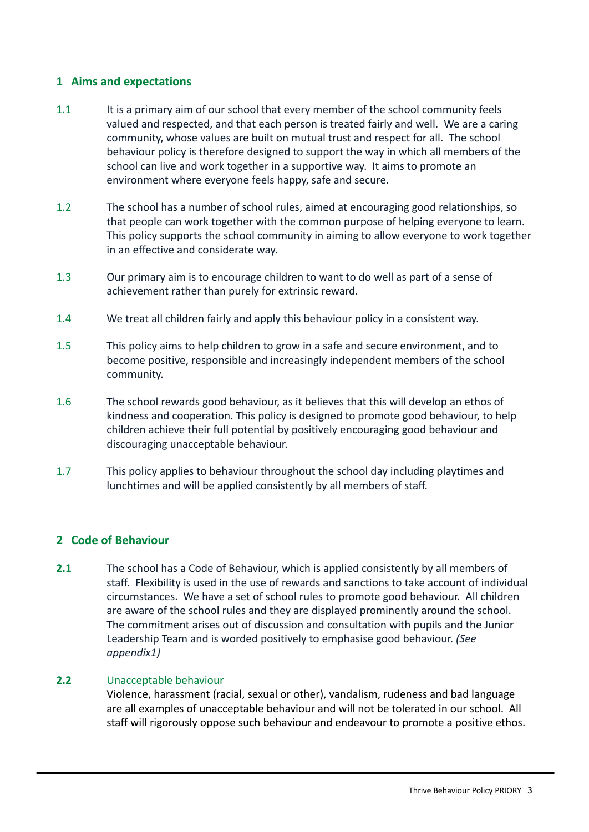# <span id="page-3-0"></span>**1 Aims and expectations**

- 1.1 It is a primary aim of our school that every member of the school community feels valued and respected, and that each person is treated fairly and well. We are a caring community, whose values are built on mutual trust and respect for all. The school behaviour policy is therefore designed to support the way in which all members of the school can live and work together in a supportive way. It aims to promote an environment where everyone feels happy, safe and secure.
- 1.2 The school has a number of school rules, aimed at encouraging good relationships, so that people can work together with the common purpose of helping everyone to learn. This policy supports the school community in aiming to allow everyone to work together in an effective and considerate way.
- 1.3 Our primary aim is to encourage children to want to do well as part of a sense of achievement rather than purely for extrinsic reward.
- 1.4 We treat all children fairly and apply this behaviour policy in a consistent way.
- 1.5 This policy aims to help children to grow in a safe and secure environment, and to become positive, responsible and increasingly independent members of the school community.
- 1.6 The school rewards good behaviour, as it believes that this will develop an ethos of kindness and cooperation. This policy is designed to promote good behaviour, to help children achieve their full potential by positively encouraging good behaviour and discouraging unacceptable behaviour.
- 1.7 This policy applies to behaviour throughout the school day including playtimes and lunchtimes and will be applied consistently by all members of staff.

## <span id="page-3-1"></span>**2 Code of Behaviour**

**2.1** The school has a Code of Behaviour, which is applied consistently by all members of staff. Flexibility is used in the use of rewards and sanctions to take account of individual circumstances. We have a set of school rules to promote good behaviour. All children are aware of the school rules and they are displayed prominently around the school. The commitment arises out of discussion and consultation with pupils and the Junior Leadership Team and is worded positively to emphasise good behaviour. *(See appendix1)*

#### **2.2** Unacceptable behaviour

Violence, harassment (racial, sexual or other), vandalism, rudeness and bad language are all examples of unacceptable behaviour and will not be tolerated in our school. All staff will rigorously oppose such behaviour and endeavour to promote a positive ethos.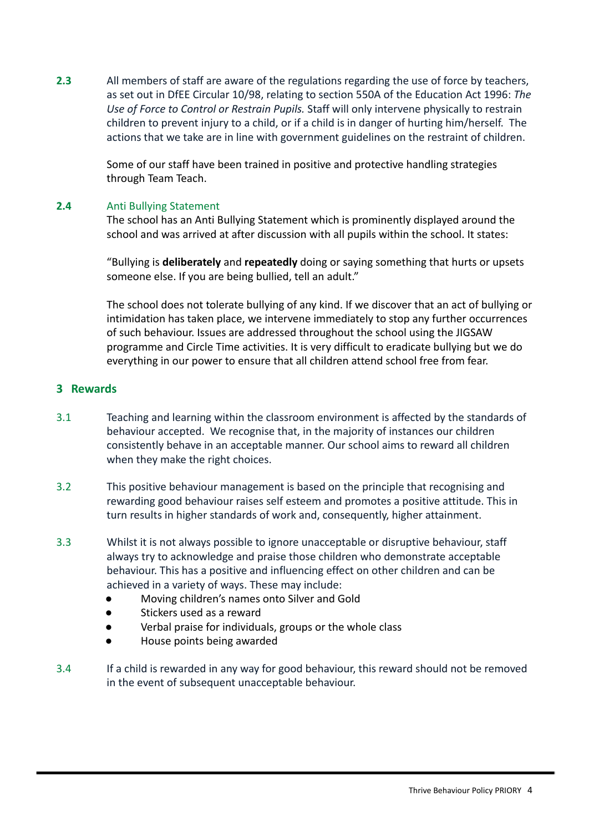**2.3** All members of staff are aware of the regulations regarding the use of force by teachers, as set out in DfEE Circular 10/98, relating to section 550A of the Education Act 1996: *The Use of Force to Control or Restrain Pupils.* Staff will only intervene physically to restrain children to prevent injury to a child, or if a child is in danger of hurting him/herself. The actions that we take are in line with government guidelines on the restraint of children.

> Some of our staff have been trained in positive and protective handling strategies through Team Teach.

#### **2.4** Anti Bullying Statement

The school has an Anti Bullying Statement which is prominently displayed around the school and was arrived at after discussion with all pupils within the school. It states:

"Bullying is **deliberately** and **repeatedly** doing or saying something that hurts or upsets someone else. If you are being bullied, tell an adult."

The school does not tolerate bullying of any kind. If we discover that an act of bullying or intimidation has taken place, we intervene immediately to stop any further occurrences of such behaviour. Issues are addressed throughout the school using the JIGSAW programme and Circle Time activities. It is very difficult to eradicate bullying but we do everything in our power to ensure that all children attend school free from fear.

#### <span id="page-4-0"></span>**3 Rewards**

- 3.1 Teaching and learning within the classroom environment is affected by the standards of behaviour accepted. We recognise that, in the majority of instances our children consistently behave in an acceptable manner. Our school aims to reward all children when they make the right choices.
- 3.2 This positive behaviour management is based on the principle that recognising and rewarding good behaviour raises self esteem and promotes a positive attitude. This in turn results in higher standards of work and, consequently, higher attainment.
- 3.3 Whilst it is not always possible to ignore unacceptable or disruptive behaviour, staff always try to acknowledge and praise those children who demonstrate acceptable behaviour. This has a positive and influencing effect on other children and can be achieved in a variety of ways. These may include:
	- Moving children's names onto Silver and Gold
	- Stickers used as a reward
	- Verbal praise for individuals, groups or the whole class
	- House points being awarded
- 3.4 If a child is rewarded in any way for good behaviour, this reward should not be removed in the event of subsequent unacceptable behaviour.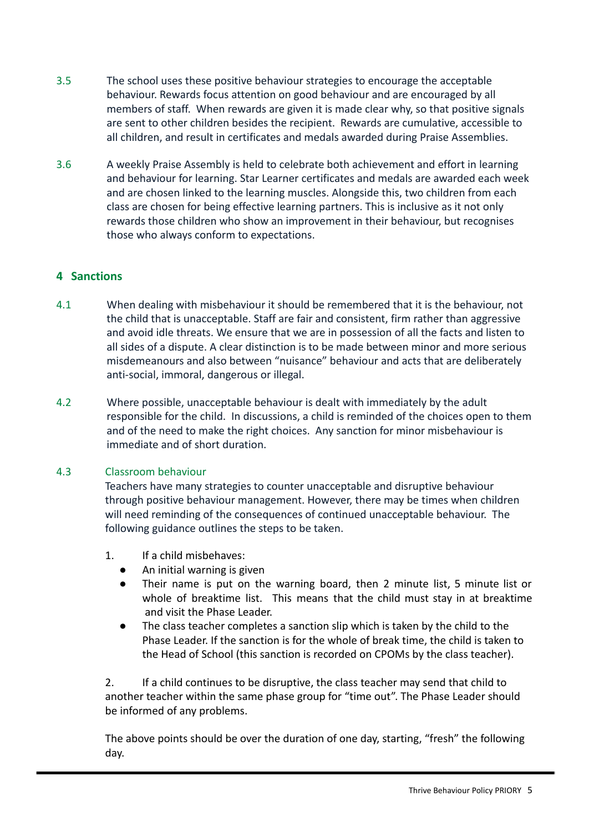- 3.5 The school uses these positive behaviour strategies to encourage the acceptable behaviour. Rewards focus attention on good behaviour and are encouraged by all members of staff. When rewards are given it is made clear why, so that positive signals are sent to other children besides the recipient. Rewards are cumulative, accessible to all children, and result in certificates and medals awarded during Praise Assemblies.
- 3.6 A weekly Praise Assembly is held to celebrate both achievement and effort in learning and behaviour for learning. Star Learner certificates and medals are awarded each week and are chosen linked to the learning muscles. Alongside this, two children from each class are chosen for being effective learning partners. This is inclusive as it not only rewards those children who show an improvement in their behaviour, but recognises those who always conform to expectations.

# <span id="page-5-0"></span>**4 Sanctions**

- 4.1 When dealing with misbehaviour it should be remembered that it is the behaviour, not the child that is unacceptable. Staff are fair and consistent, firm rather than aggressive and avoid idle threats. We ensure that we are in possession of all the facts and listen to all sides of a dispute. A clear distinction is to be made between minor and more serious misdemeanours and also between "nuisance" behaviour and acts that are deliberately anti-social, immoral, dangerous or illegal.
- 4.2 Where possible, unacceptable behaviour is dealt with immediately by the adult responsible for the child. In discussions, a child is reminded of the choices open to them and of the need to make the right choices. Any sanction for minor misbehaviour is immediate and of short duration.

## 4.3 Classroom behaviour

Teachers have many strategies to counter unacceptable and disruptive behaviour through positive behaviour management. However, there may be times when children will need reminding of the consequences of continued unacceptable behaviour. The following guidance outlines the steps to be taken.

- 1. If a child misbehaves:
	- An initial warning is given
	- Their name is put on the warning board, then 2 minute list, 5 minute list or whole of breaktime list. This means that the child must stay in at breaktime and visit the Phase Leader.
	- The class teacher completes a sanction slip which is taken by the child to the Phase Leader. If the sanction is for the whole of break time, the child is taken to the Head of School (this sanction is recorded on CPOMs by the class teacher).

2. If a child continues to be disruptive, the class teacher may send that child to another teacher within the same phase group for "time out". The Phase Leader should be informed of any problems.

The above points should be over the duration of one day, starting, "fresh" the following day.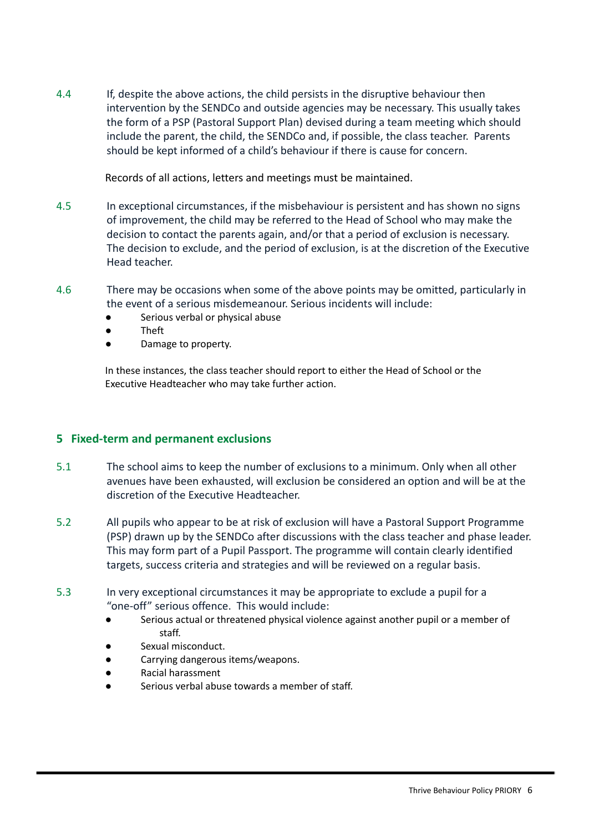4.4 If, despite the above actions, the child persists in the disruptive behaviour then intervention by the SENDCo and outside agencies may be necessary. This usually takes the form of a PSP (Pastoral Support Plan) devised during a team meeting which should include the parent, the child, the SENDCo and, if possible, the class teacher. Parents should be kept informed of a child's behaviour if there is cause for concern.

Records of all actions, letters and meetings must be maintained.

- 4.5 In exceptional circumstances, if the misbehaviour is persistent and has shown no signs of improvement, the child may be referred to the Head of School who may make the decision to contact the parents again, and/or that a period of exclusion is necessary. The decision to exclude, and the period of exclusion, is at the discretion of the Executive Head teacher.
- 4.6 There may be occasions when some of the above points may be omitted, particularly in the event of a serious misdemeanour. Serious incidents will include:
	- Serious verbal or physical abuse
	- Theft
	- Damage to property.

In these instances, the class teacher should report to either the Head of School or the Executive Headteacher who may take further action.

## <span id="page-6-0"></span>**5 Fixed-term and permanent exclusions**

- 5.1 The school aims to keep the number of exclusions to a minimum. Only when all other avenues have been exhausted, will exclusion be considered an option and will be at the discretion of the Executive Headteacher.
- 5.2 All pupils who appear to be at risk of exclusion will have a Pastoral Support Programme (PSP) drawn up by the SENDCo after discussions with the class teacher and phase leader. This may form part of a Pupil Passport. The programme will contain clearly identified targets, success criteria and strategies and will be reviewed on a regular basis.
- 5.3 In very exceptional circumstances it may be appropriate to exclude a pupil for a "one-off" serious offence. This would include:
	- Serious actual or threatened physical violence against another pupil or a member of staff.
	- Sexual misconduct.
	- Carrying dangerous items/weapons.
	- Racial harassment
	- Serious verbal abuse towards a member of staff.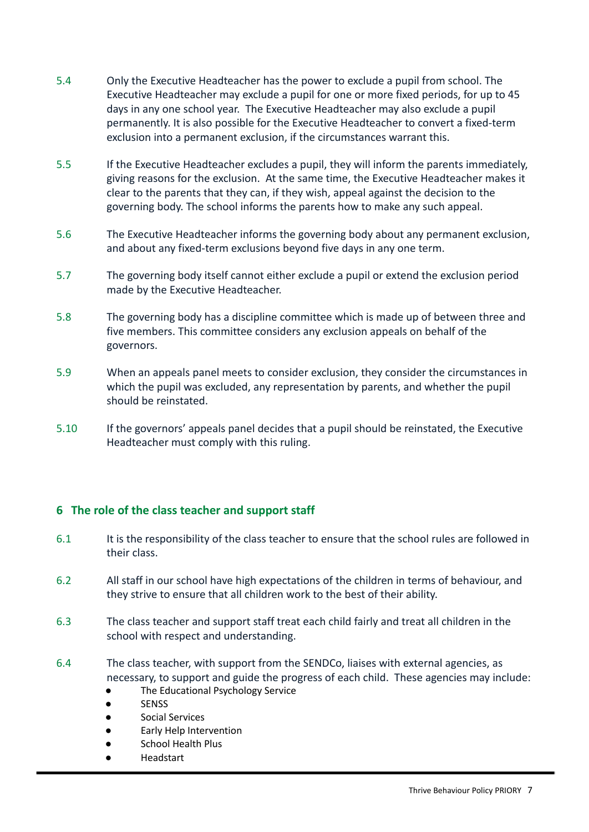- 5.4 Only the Executive Headteacher has the power to exclude a pupil from school. The Executive Headteacher may exclude a pupil for one or more fixed periods, for up to 45 days in any one school year. The Executive Headteacher may also exclude a pupil permanently. It is also possible for the Executive Headteacher to convert a fixed-term exclusion into a permanent exclusion, if the circumstances warrant this.
- 5.5 If the Executive Headteacher excludes a pupil, they will inform the parents immediately, giving reasons for the exclusion. At the same time, the Executive Headteacher makes it clear to the parents that they can, if they wish, appeal against the decision to the governing body. The school informs the parents how to make any such appeal.
- 5.6 The Executive Headteacher informs the governing body about any permanent exclusion, and about any fixed-term exclusions beyond five days in any one term.
- 5.7 The governing body itself cannot either exclude a pupil or extend the exclusion period made by the Executive Headteacher.
- 5.8 The governing body has a discipline committee which is made up of between three and five members. This committee considers any exclusion appeals on behalf of the governors.
- 5.9 When an appeals panel meets to consider exclusion, they consider the circumstances in which the pupil was excluded, any representation by parents, and whether the pupil should be reinstated.
- 5.10 If the governors' appeals panel decides that a pupil should be reinstated, the Executive Headteacher must comply with this ruling.

## <span id="page-7-0"></span>**6 The role of the class teacher and support staff**

- 6.1 It is the responsibility of the class teacher to ensure that the school rules are followed in their class.
- 6.2 All staff in our school have high expectations of the children in terms of behaviour, and they strive to ensure that all children work to the best of their ability.
- 6.3 The class teacher and support staff treat each child fairly and treat all children in the school with respect and understanding.
- 6.4 The class teacher, with support from the SENDCo, liaises with external agencies, as necessary, to support and guide the progress of each child. These agencies may include:
	- The Educational Psychology Service
	- SENSS
	- Social Services
	- Early Help Intervention
	- School Health Plus
	- **Headstart**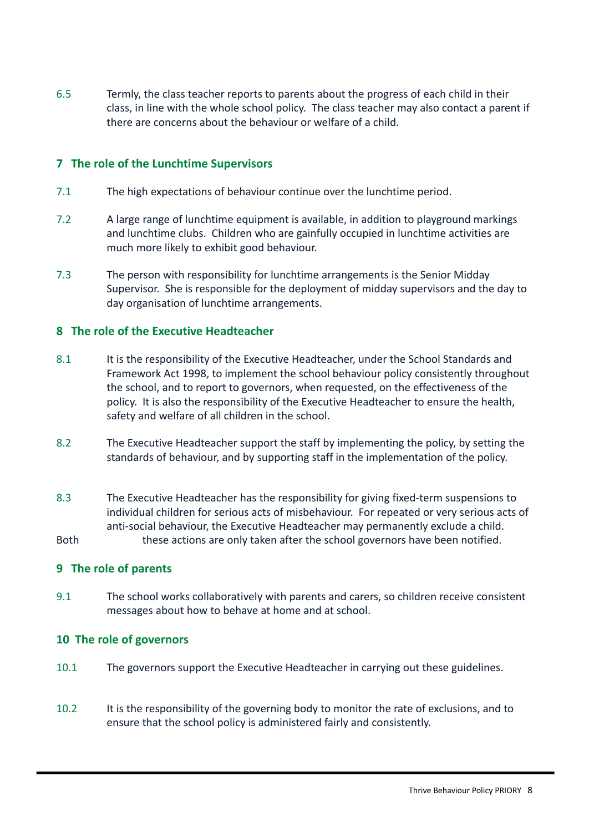6.5 Termly, the class teacher reports to parents about the progress of each child in their class, in line with the whole school policy. The class teacher may also contact a parent if there are concerns about the behaviour or welfare of a child.

## <span id="page-8-0"></span>**7 The role of the Lunchtime Supervisors**

- 7.1 The high expectations of behaviour continue over the lunchtime period.
- 7.2 A large range of lunchtime equipment is available, in addition to playground markings and lunchtime clubs. Children who are gainfully occupied in lunchtime activities are much more likely to exhibit good behaviour.
- 7.3 The person with responsibility for lunchtime arrangements is the Senior Midday Supervisor. She is responsible for the deployment of midday supervisors and the day to day organisation of lunchtime arrangements.

#### <span id="page-8-1"></span>**8 The role of the Executive Headteacher**

- 8.1 It is the responsibility of the Executive Headteacher, under the School Standards and Framework Act 1998, to implement the school behaviour policy consistently throughout the school, and to report to governors, when requested, on the effectiveness of the policy. It is also the responsibility of the Executive Headteacher to ensure the health, safety and welfare of all children in the school.
- 8.2 The Executive Headteacher support the staff by implementing the policy, by setting the standards of behaviour, and by supporting staff in the implementation of the policy.
- 8.3 The Executive Headteacher has the responsibility for giving fixed-term suspensions to individual children for serious acts of misbehaviour. For repeated or very serious acts of anti-social behaviour, the Executive Headteacher may permanently exclude a child.

Both these actions are only taken after the school governors have been notified.

#### <span id="page-8-2"></span>**9 The role of parents**

9.1 The school works collaboratively with parents and carers, so children receive consistent messages about how to behave at home and at school.

#### <span id="page-8-3"></span>**10 The role of governors**

- 10.1 The governors support the Executive Headteacher in carrying out these guidelines.
- 10.2 It is the responsibility of the governing body to monitor the rate of exclusions, and to ensure that the school policy is administered fairly and consistently.